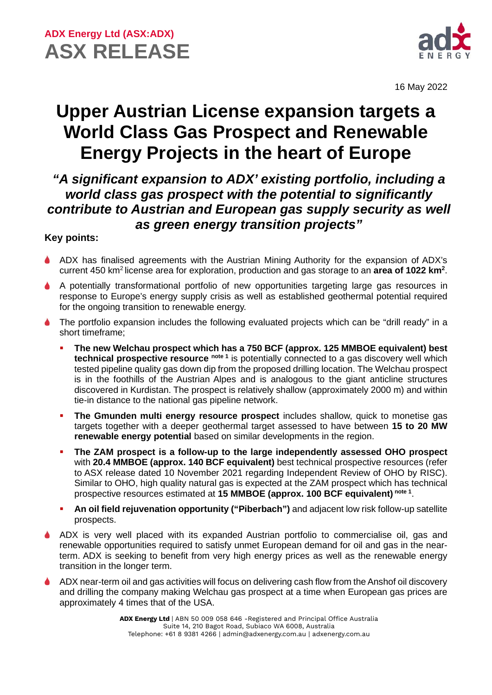

16 May 2022

# **Upper Austrian License expansion targets a World Class Gas Prospect and Renewable Energy Projects in the heart of Europe**

### *"A significant expansion to ADX' existing portfolio, including a world class gas prospect with the potential to significantly contribute to Austrian and European gas supply security as well as green energy transition projects"*

### **Key points:**

- ADX has finalised agreements with the Austrian Mining Authority for the expansion of ADX's current 450 km<sup>2</sup> license area for exploration, production and gas storage to an area of 1022 km<sup>2</sup>.
- A potentially transformational portfolio of new opportunities targeting large gas resources in response to Europe's energy supply crisis as well as established geothermal potential required for the ongoing transition to renewable energy.
- The portfolio expansion includes the following evaluated projects which can be "drill ready" in a short timeframe;
	- **The new Welchau prospect which has a 750 BCF (approx. 125 MMBOE equivalent) best technical prospective resource note 1** is potentially connected to a gas discovery well which tested pipeline quality gas down dip from the proposed drilling location. The Welchau prospect is in the foothills of the Austrian Alpes and is analogous to the giant anticline structures discovered in Kurdistan. The prospect is relatively shallow (approximately 2000 m) and within tie-in distance to the national gas pipeline network.
	- **The Gmunden multi energy resource prospect** includes shallow, quick to monetise gas targets together with a deeper geothermal target assessed to have between **15 to 20 MW renewable energy potential** based on similar developments in the region.
	- **The ZAM prospect is a follow-up to the large independently assessed OHO prospect** with **20.4 MMBOE (approx. 140 BCF equivalent)** best technical prospective resources (refer to ASX release dated 10 November 2021 regarding Independent Review of OHO by RISC). Similar to OHO, high quality natural gas is expected at the ZAM prospect which has technical prospective resources estimated at **15 MMBOE (approx. 100 BCF equivalent) note 1**.
	- **An oil field rejuvenation opportunity ("Piberbach")** and adjacent low risk follow-up satellite prospects.
- ADX is very well placed with its expanded Austrian portfolio to commercialise oil, gas and renewable opportunities required to satisfy unmet European demand for oil and gas in the nearterm. ADX is seeking to benefit from very high energy prices as well as the renewable energy transition in the longer term.
- ADX near-term oil and gas activities will focus on delivering cash flow from the Anshof oil discovery and drilling the company making Welchau gas prospect at a time when European gas prices are approximately 4 times that of the USA.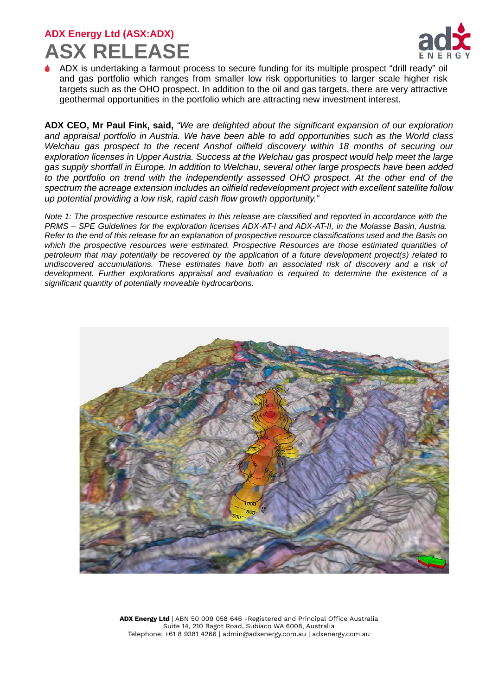

ADX is undertaking a farmout process to secure funding for its multiple prospect "drill ready" oil and gas portfolio which ranges from smaller low risk opportunities to larger scale higher risk targets such as the OHO prospect. In addition to the oil and gas targets, there are very attractive geothermal opportunities in the portfolio which are attracting new investment interest.

**ADX CEO, Mr Paul Fink, said,** *"We are delighted about the significant expansion of our exploration and appraisal portfolio in Austria. We have been able to add opportunities such as the World class Welchau gas prospect to the recent Anshof oilfield discovery within 18 months of securing our exploration licenses in Upper Austria. Success at the Welchau gas prospect would help meet the large gas supply shortfall in Europe. In addition to Welchau, several other large prospects have been added to the portfolio on trend with the independently assessed OHO prospect. At the other end of the spectrum the acreage extension includes an oilfield redevelopment project with excellent satellite follow up potential providing a low risk, rapid cash flow growth opportunity."*

*Note 1: The prospective resource estimates in this release are classified and reported in accordance with the PRMS – SPE Guidelines for the exploration licenses ADX-AT-I and ADX-AT-II, in the Molasse Basin, Austria. Refer to the end of this release for an explanation of prospective resource classifications used and the Basis on which the prospective resources were estimated. Prospective Resources are those estimated quantities of petroleum that may potentially be recovered by the application of a future development project(s) related to undiscovered accumulations. These estimates have both an associated risk of discovery and a risk of development. Further explorations appraisal and evaluation is required to determine the existence of a significant quantity of potentially moveable hydrocarbons.*

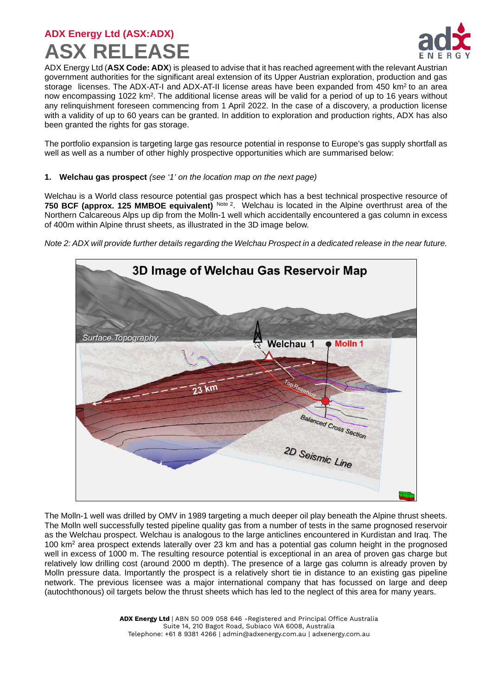

ADX Energy Ltd (**ASX Code: ADX**) is pleased to advise that it has reached agreement with the relevant Austrian government authorities for the significant areal extension of its Upper Austrian exploration, production and gas storage licenses. The ADX-AT-I and ADX-AT-II license areas have been expanded from 450 km<sup>2</sup> to an area now encompassing 1022 km2. The additional license areas will be valid for a period of up to 16 years without any relinquishment foreseen commencing from 1 April 2022. In the case of a discovery, a production license with a validity of up to 60 years can be granted. In addition to exploration and production rights, ADX has also been granted the rights for gas storage.

The portfolio expansion is targeting large gas resource potential in response to Europe's gas supply shortfall as well as well as a number of other highly prospective opportunities which are summarised below:

#### **1. Welchau gas prospect** *(see '1' on the location map on the next page)*

Welchau is a World class resource potential gas prospect which has a best technical prospective resource of **750 BCF (approx. 125 MMBOE equivalent)** Note 2. Welchau is located in the Alpine overthrust area of the Northern Calcareous Alps up dip from the Molln-1 well which accidentally encountered a gas column in excess of 400m within Alpine thrust sheets, as illustrated in the 3D image below.

*Note 2: ADX will provide further details regarding the Welchau Prospect in a dedicated release in the near future.*



The Molln-1 well was drilled by OMV in 1989 targeting a much deeper oil play beneath the Alpine thrust sheets. The Molln well successfully tested pipeline quality gas from a number of tests in the same prognosed reservoir as the Welchau prospect. Welchau is analogous to the large anticlines encountered in Kurdistan and Iraq. The 100 km2 area prospect extends laterally over 23 km and has a potential gas column height in the prognosed well in excess of 1000 m. The resulting resource potential is exceptional in an area of proven gas charge but relatively low drilling cost (around 2000 m depth). The presence of a large gas column is already proven by Molln pressure data. Importantly the prospect is a relatively short tie in distance to an existing gas pipeline network. The previous licensee was a major international company that has focussed on large and deep (autochthonous) oil targets below the thrust sheets which has led to the neglect of this area for many years.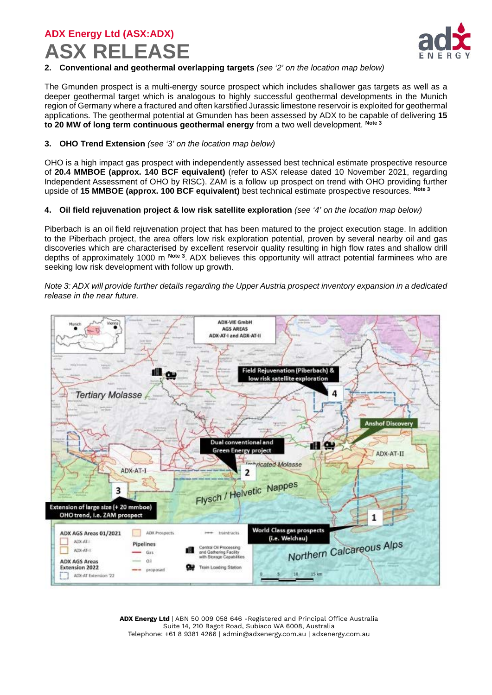

#### **2. Conventional and geothermal overlapping targets** *(see '2' on the location map below)*

The Gmunden prospect is a multi-energy source prospect which includes shallower gas targets as well as a deeper geothermal target which is analogous to highly successful geothermal developments in the Munich region of Germany where a fractured and often karstified Jurassic limestone reservoir is exploited for geothermal applications. The geothermal potential at Gmunden has been assessed by ADX to be capable of delivering **15 to 20 MW of long term continuous geothermal energy** from a two well development. **Note 3**

#### **3. OHO Trend Extension** *(see '3' on the location map below)*

OHO is a high impact gas prospect with independently assessed best technical estimate prospective resource of **20.4 MMBOE (approx. 140 BCF equivalent)** (refer to ASX release dated 10 November 2021, regarding Independent Assessment of OHO by RISC). ZAM is a follow up prospect on trend with OHO providing further upside of **15 MMBOE (approx. 100 BCF equivalent)** best technical estimate prospective resources. **Note 3**

#### **4. Oil field rejuvenation project & low risk satellite exploration** *(see '4' on the location map below)*

Piberbach is an oil field rejuvenation project that has been matured to the project execution stage. In addition to the Piberbach project, the area offers low risk exploration potential, proven by several nearby oil and gas discoveries which are characterised by excellent reservoir quality resulting in high flow rates and shallow drill depths of approximately 1000 m **Note 3**. ADX believes this opportunity will attract potential farminees who are seeking low risk development with follow up growth.

*Note 3: ADX will provide further details regarding the Upper Austria prospect inventory expansion in a dedicated release in the near future.*

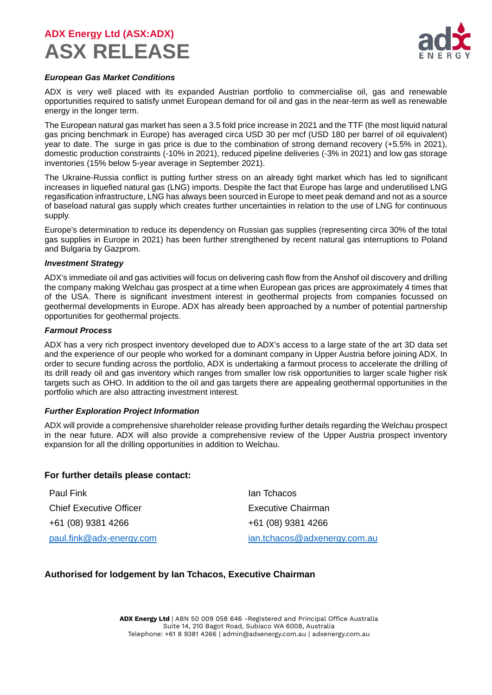

#### *European Gas Market Conditions*

ADX is very well placed with its expanded Austrian portfolio to commercialise oil, gas and renewable opportunities required to satisfy unmet European demand for oil and gas in the near-term as well as renewable energy in the longer term.

The European natural gas market has seen a 3.5 fold price increase in 2021 and the TTF (the most liquid natural gas pricing benchmark in Europe) has averaged circa USD 30 per mcf (USD 180 per barrel of oil equivalent) year to date. The surge in gas price is due to the combination of strong demand recovery (+5.5% in 2021), domestic production constraints (-10% in 2021), reduced pipeline deliveries (-3% in 2021) and low gas storage inventories (15% below 5-year average in September 2021).

The Ukraine-Russia conflict is putting further stress on an already tight market which has led to significant increases in liquefied natural gas (LNG) imports. Despite the fact that Europe has large and underutilised LNG regasification infrastructure, LNG has always been sourced in Europe to meet peak demand and not as a source of baseload natural gas supply which creates further uncertainties in relation to the use of LNG for continuous supply.

Europe's determination to reduce its dependency on Russian gas supplies (representing circa 30% of the total gas supplies in Europe in 2021) has been further strengthened by recent natural gas interruptions to Poland and Bulgaria by Gazprom.

#### *Investment Strategy*

ADX's immediate oil and gas activities will focus on delivering cash flow from the Anshof oil discovery and drilling the company making Welchau gas prospect at a time when European gas prices are approximately 4 times that of the USA. There is significant investment interest in geothermal projects from companies focussed on geothermal developments in Europe. ADX has already been approached by a number of potential partnership opportunities for geothermal projects.

#### *Farmout Process*

ADX has a very rich prospect inventory developed due to ADX's access to a large state of the art 3D data set and the experience of our people who worked for a dominant company in Upper Austria before joining ADX. In order to secure funding across the portfolio, ADX is undertaking a farmout process to accelerate the drilling of its drill ready oil and gas inventory which ranges from smaller low risk opportunities to larger scale higher risk targets such as OHO. In addition to the oil and gas targets there are appealing geothermal opportunities in the portfolio which are also attracting investment interest.

#### *Further Exploration Project Information*

ADX will provide a comprehensive shareholder release providing further details regarding the Welchau prospect in the near future. ADX will also provide a comprehensive review of the Upper Austria prospect inventory expansion for all the drilling opportunities in addition to Welchau.

#### **For further details please contact:**

| <b>Paul Fink</b>               | lan Tchacos                  |
|--------------------------------|------------------------------|
| <b>Chief Executive Officer</b> | Executive Chairman           |
| +61 (08) 9381 4266             | +61 (08) 9381 4266           |
| paul.fink@adx-energy.com       | ian.tchacos@adxenergy.com.au |

### **Authorised for lodgement by Ian Tchacos, Executive Chairman**